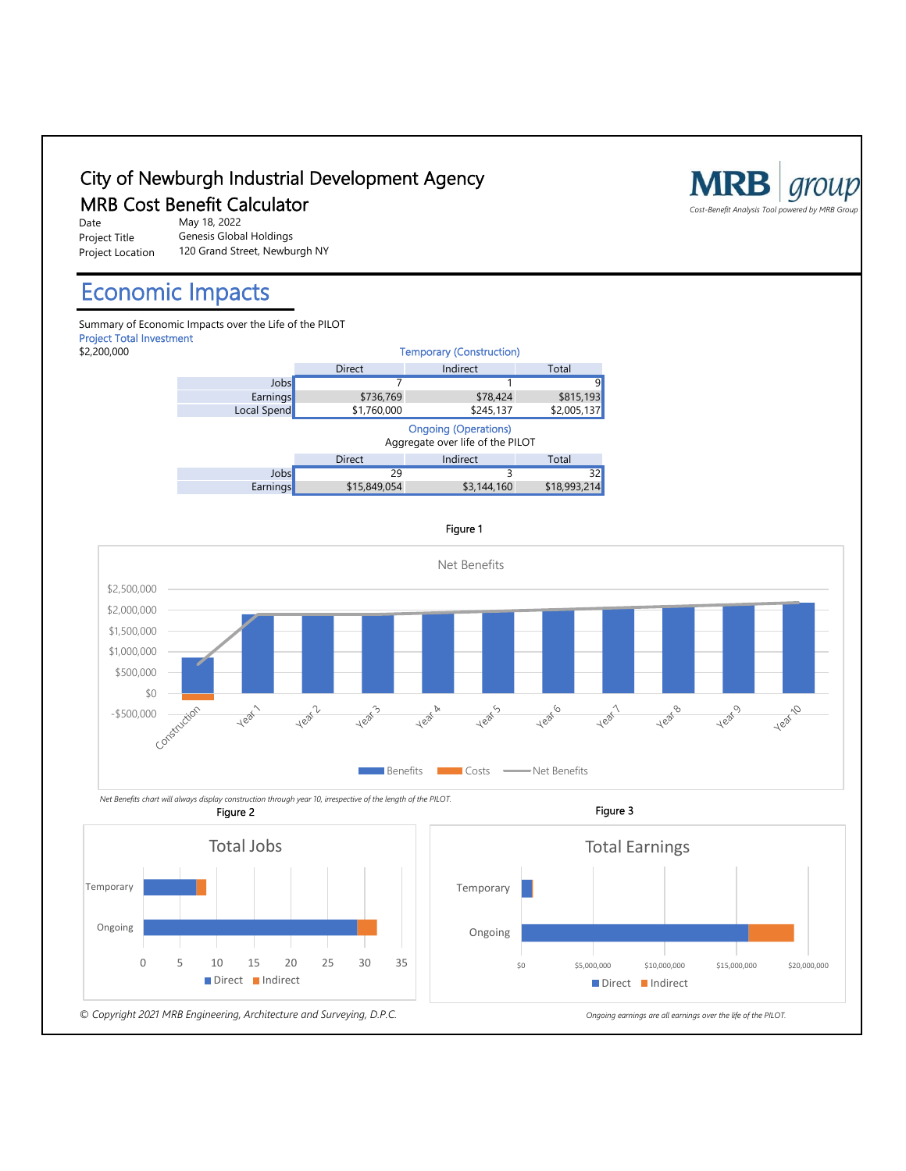